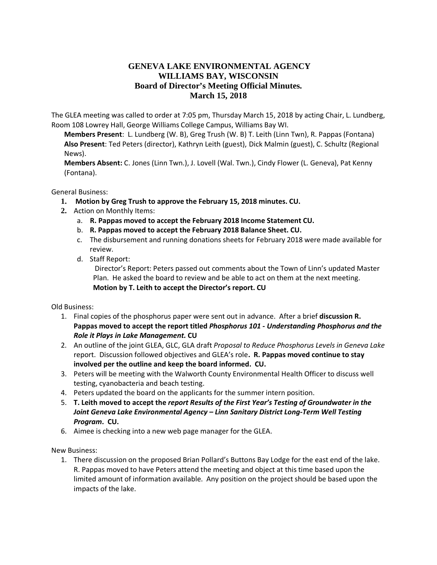## **GENEVA LAKE ENVIRONMENTAL AGENCY WILLIAMS BAY, WISCONSIN Board of Director's Meeting Official Minutes. March 15, 2018**

The GLEA meeting was called to order at 7:05 pm, Thursday March 15, 2018 by acting Chair, L. Lundberg, Room 108 Lowrey Hall, George Williams College Campus, Williams Bay WI.

**Members Present**: L. Lundberg (W. B), Greg Trush (W. B) T. Leith (Linn Twn), R. Pappas (Fontana) **Also Present**: Ted Peters (director), Kathryn Leith (guest), Dick Malmin (guest), C. Schultz (Regional News).

**Members Absent:** C. Jones (Linn Twn.), J. Lovell (Wal. Twn.), Cindy Flower (L. Geneva), Pat Kenny (Fontana).

General Business:

- **1. Motion by Greg Trush to approve the February 15, 2018 minutes. CU.**
- **2.** Action on Monthly Items:
	- a. **R. Pappas moved to accept the February 2018 Income Statement CU.**
	- b. **R. Pappas moved to accept the February 2018 Balance Sheet. CU.**
	- c. The disbursement and running donations sheets for February 2018 were made available for review.
	- d. Staff Report:

Director's Report: Peters passed out comments about the Town of Linn's updated Master Plan. He asked the board to review and be able to act on them at the next meeting. **Motion by T. Leith to accept the Director's report. CU** 

Old Business:

- 1. Final copies of the phosphorus paper were sent out in advance. After a brief **discussion R. Pappas moved to accept the report titled** *Phosphorus 101 - Understanding Phosphorus and the Role it Plays in Lake Management.* **CU**
- 2. An outline of the joint GLEA, GLC, GLA draft *Proposal to Reduce Phosphorus Levels in Geneva Lake*  report. Discussion followed objectives and GLEA's role**. R. Pappas moved continue to stay involved per the outline and keep the board informed. CU.**
- 3. Peters will be meeting with the Walworth County Environmental Health Officer to discuss well testing, cyanobacteria and beach testing.
- 4. Peters updated the board on the applicants for the summer intern position.
- 5. **T. Leith moved to accept the** *report Results of the First Year's Testing of Groundwater in the Joint Geneva Lake Environmental Agency – Linn Sanitary District Long-Term Well Testing Program***. CU.**
- 6. Aimee is checking into a new web page manager for the GLEA.

New Business:

1. There discussion on the proposed Brian Pollard's Buttons Bay Lodge for the east end of the lake. R. Pappas moved to have Peters attend the meeting and object at this time based upon the limited amount of information available. Any position on the project should be based upon the impacts of the lake.